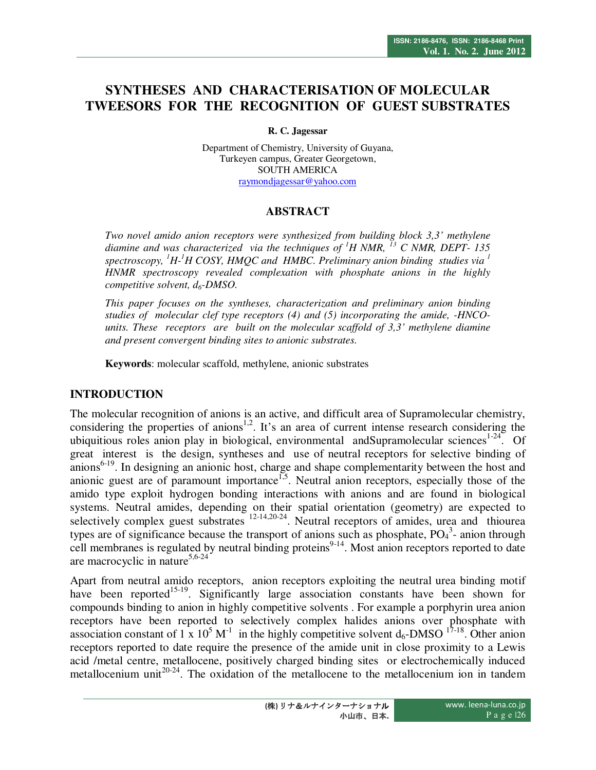# **SYNTHESES AND CHARACTERISATION OF MOLECULAR TWEESORS FOR THE RECOGNITION OF GUEST SUBSTRATES**

**R. C. Jagessar** 

Department of Chemistry, University of Guyana, Turkeyen campus, Greater Georgetown, SOUTH AMERICA raymondjagessar@yahoo.com

# **ABSTRACT**

*Two novel amido anion receptors were synthesized from building block 3,3' methylene diamine and was characterized via the techniques of <sup>1</sup>H NMR, <sup>13</sup> C NMR, DEPT- 135 spectroscopy, <sup>1</sup>H-<sup>1</sup>H COSY, HMQC and HMBC. Preliminary anion binding studies via <sup>1</sup> HNMR spectroscopy revealed complexation with phosphate anions in the highly competitive solvent, d6-DMSO.* 

*This paper focuses on the syntheses, characterization and preliminary anion binding studies of molecular clef type receptors (4) and (5) incorporating the amide, -HNCOunits. These receptors are built on the molecular scaffold of 3,3' methylene diamine and present convergent binding sites to anionic substrates.* 

**Keywords**: molecular scaffold, methylene, anionic substrates

# **INTRODUCTION**

The molecular recognition of anions is an active, and difficult area of Supramolecular chemistry, considering the properties of anions<sup>1,2</sup>. It's an area of current intense research considering the ubiquitious roles anion play in biological, environmental and Supramolecular sciences<sup>1-24</sup>. Of great interest is the design, syntheses and use of neutral receptors for selective binding of anions<sup>6-19</sup>. In designing an anionic host, charge and shape complementarity between the host and anionic guest are of paramount importance<sup> $1,5$ </sup>. Neutral anion receptors, especially those of the amido type exploit hydrogen bonding interactions with anions and are found in biological systems. Neutral amides, depending on their spatial orientation (geometry) are expected to selectively complex guest substrates  $12-14,20-24$ . Neutral receptors of amides, urea and thiourea types are of significance because the transport of anions such as phosphate,  $PO<sub>4</sub><sup>3</sup>$ - anion through cell membranes is regulated by neutral binding proteins<sup>9-14</sup>. Most anion receptors reported to date are macrocyclic in nature<sup>5,6-24</sup>

Apart from neutral amido receptors, anion receptors exploiting the neutral urea binding motif have been reported<sup>15-19</sup>. Significantly large association constants have been shown for compounds binding to anion in highly competitive solvents . For example a porphyrin urea anion receptors have been reported to selectively complex halides anions over phosphate with association constant of 1 x  $10^5$  M<sup>-1</sup> in the highly competitive solvent  $d_6$ -DMSO <sup>17-18</sup>. Other anion receptors reported to date require the presence of the amide unit in close proximity to a Lewis acid /metal centre, metallocene, positively charged binding sites or electrochemically induced metallocenium unit<sup>20-24</sup>. The oxidation of the metallocene to the metallocenium ion in tandem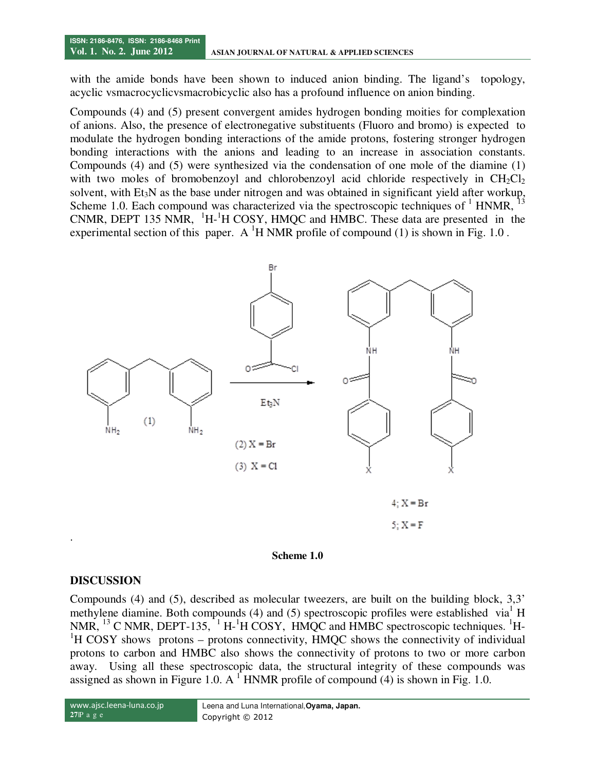with the amide bonds have been shown to induced anion binding. The ligand's topology, acyclic vsmacrocyclicvsmacrobicyclic also has a profound influence on anion binding.

Compounds (4) and (5) present convergent amides hydrogen bonding moities for complexation of anions. Also, the presence of electronegative substituents (Fluoro and bromo) is expected to modulate the hydrogen bonding interactions of the amide protons, fostering stronger hydrogen bonding interactions with the anions and leading to an increase in association constants. Compounds (4) and (5) were synthesized via the condensation of one mole of the diamine (1) with two moles of bromobenzoyl and chlorobenzoyl acid chloride respectively in  $CH_2Cl_2$ solvent, with Et<sub>3</sub>N as the base under nitrogen and was obtained in significant yield after workup, Scheme 1.0. Each compound was characterized via the spectroscopic techniques of  $1$  HNMR,  $13$ CNMR, DEPT 135 NMR,  ${}^{1}H-{}^{1}H$  COSY, HMQC and HMBC. These data are presented in the experimental section of this paper. A <sup>1</sup>H NMR profile of compound (1) is shown in Fig. 1.0.





#### **DISCUSSION**

Compounds (4) and (5), described as molecular tweezers, are built on the building block, 3,3' methylene diamine. Both compounds (4) and (5) spectroscopic profiles were established via<sup>1</sup> H NMR,  $^{13}$  C NMR, DEPT-135,  $^{1}$  H- $^{1}$ H COSY, HMQC and HMBC spectroscopic techniques. <sup>1</sup>H- ${}^{1}$ H COSY shows protons – protons connectivity, HMQC shows the connectivity of individual protons to carbon and HMBC also shows the connectivity of protons to two or more carbon away. Using all these spectroscopic data, the structural integrity of these compounds was assigned as shown in Figure 1.0. A  $\textsuperscript{1}$  HNMR profile of compound (4) is shown in Fig. 1.0.

```
www.ajsc.leena-luna.co.jp
27|P a g e
```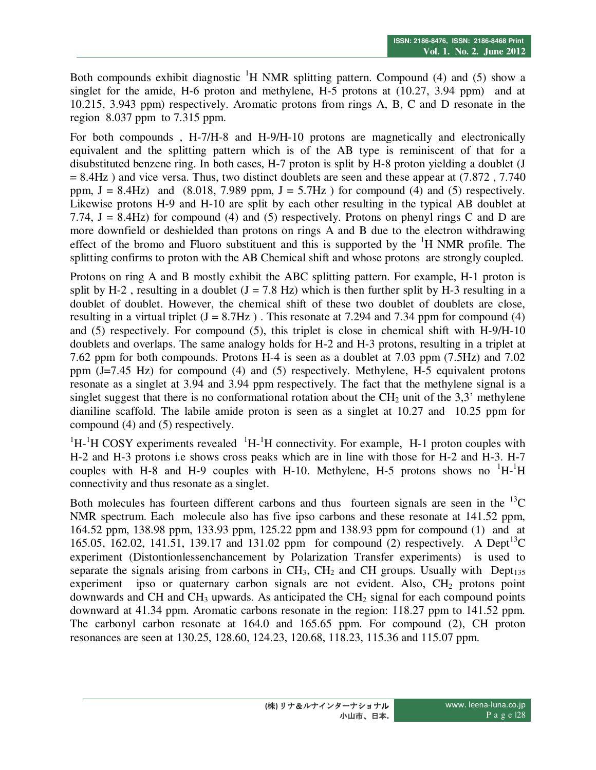Both compounds exhibit diagnostic  ${}^{1}H$  NMR splitting pattern. Compound (4) and (5) show a singlet for the amide, H-6 proton and methylene, H-5 protons at (10.27, 3.94 ppm) and at 10.215, 3.943 ppm) respectively. Aromatic protons from rings A, B, C and D resonate in the region 8.037 ppm to 7.315 ppm.

For both compounds , H-7/H-8 and H-9/H-10 protons are magnetically and electronically equivalent and the splitting pattern which is of the AB type is reminiscent of that for a disubstituted benzene ring. In both cases, H-7 proton is split by H-8 proton yielding a doublet (J  $= 8.4$ Hz) and vice versa. Thus, two distinct doublets are seen and these appear at (7.872, 7.740) ppm,  $J = 8.4 Hz$ ) and  $(8.018, 7.989$  ppm,  $J = 5.7 Hz$  ) for compound (4) and (5) respectively. Likewise protons H-9 and H-10 are split by each other resulting in the typical AB doublet at 7.74,  $J = 8.4$ Hz) for compound (4) and (5) respectively. Protons on phenyl rings C and D are more downfield or deshielded than protons on rings A and B due to the electron withdrawing effect of the bromo and Fluoro substituent and this is supported by the  ${}^{1}H$  NMR profile. The splitting confirms to proton with the AB Chemical shift and whose protons are strongly coupled.

Protons on ring A and B mostly exhibit the ABC splitting pattern. For example, H-1 proton is split by H-2, resulting in a doublet  $(J = 7.8 \text{ Hz})$  which is then further split by H-3 resulting in a doublet of doublet. However, the chemical shift of these two doublet of doublets are close, resulting in a virtual triplet  $(J = 8.7 Hz)$ . This resonate at 7.294 and 7.34 ppm for compound (4) and (5) respectively. For compound (5), this triplet is close in chemical shift with H-9/H-10 doublets and overlaps. The same analogy holds for H-2 and H-3 protons, resulting in a triplet at 7.62 ppm for both compounds. Protons H-4 is seen as a doublet at 7.03 ppm (7.5Hz) and 7.02 ppm (J=7.45 Hz) for compound (4) and (5) respectively. Methylene, H-5 equivalent protons resonate as a singlet at 3.94 and 3.94 ppm respectively. The fact that the methylene signal is a singlet suggest that there is no conformational rotation about the  $CH<sub>2</sub>$  unit of the 3,3' methylene dianiline scaffold. The labile amide proton is seen as a singlet at 10.27 and 10.25 ppm for compound (4) and (5) respectively.

 ${}^{1}H$ - ${}^{1}H$  COSY experiments revealed  ${}^{1}H$ - ${}^{1}H$  connectivity. For example, H-1 proton couples with H-2 and H-3 protons i.e shows cross peaks which are in line with those for H-2 and H-3. H-7 couples with H-8 and H-9 couples with H-10. Methylene, H-5 protons shows no  $\mathrm{H}-\mathrm{H}$ connectivity and thus resonate as a singlet.

Both molecules has fourteen different carbons and thus fourteen signals are seen in the  ${}^{13}C$ NMR spectrum. Each molecule also has five ipso carbons and these resonate at 141.52 ppm, 164.52 ppm, 138.98 ppm, 133.93 ppm, 125.22 ppm and 138.93 ppm for compound (1) and at 165.05, 162.02, 141.51, 139.17 and 131.02 ppm for compound (2) respectively. A Dept<sup>13</sup>C experiment (Distontionlessenchancement by Polarization Transfer experiments) is used to separate the signals arising from carbons in  $CH_3$ ,  $CH_2$  and CH groups. Usually with Dept<sub>135</sub> experiment ipso or quaternary carbon signals are not evident. Also,  $CH<sub>2</sub>$  protons point downwards and CH and CH<sub>3</sub> upwards. As anticipated the CH<sub>2</sub> signal for each compound points downward at 41.34 ppm. Aromatic carbons resonate in the region: 118.27 ppm to 141.52 ppm. The carbonyl carbon resonate at 164.0 and 165.65 ppm. For compound (2), CH proton resonances are seen at 130.25, 128.60, 124.23, 120.68, 118.23, 115.36 and 115.07 ppm.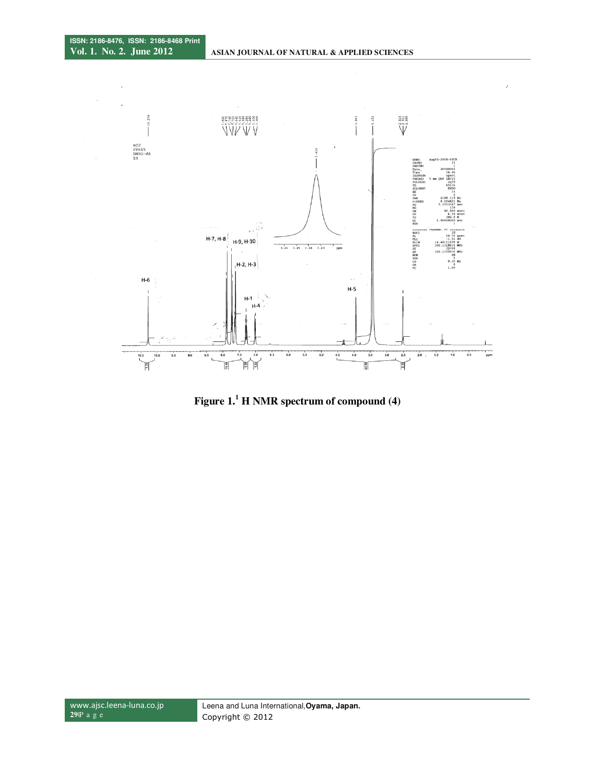

**Figure 1.<sup>1</sup> H NMR spectrum of compound (4)**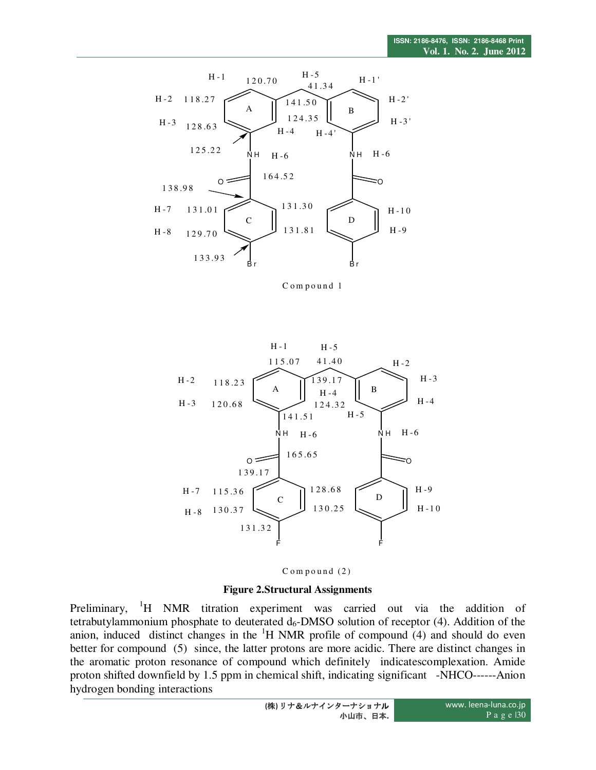

Compound 1





#### **Figure 2.Structural Assignments**

Preliminary, <sup>1</sup>H NMR titration experiment was carried out via the addition of tetrabutylammonium phosphate to deuterated  $d_6$ -DMSO solution of receptor (4). Addition of the anion, induced distinct changes in the  $H$  NMR profile of compound (4) and should do even better for compound (5) since, the latter protons are more acidic. There are distinct changes in the aromatic proton resonance of compound which definitely indicatescomplexation. Amide proton shifted downfield by 1.5 ppm in chemical shift, indicating significant -NHCO------Anion hydrogen bonding interactions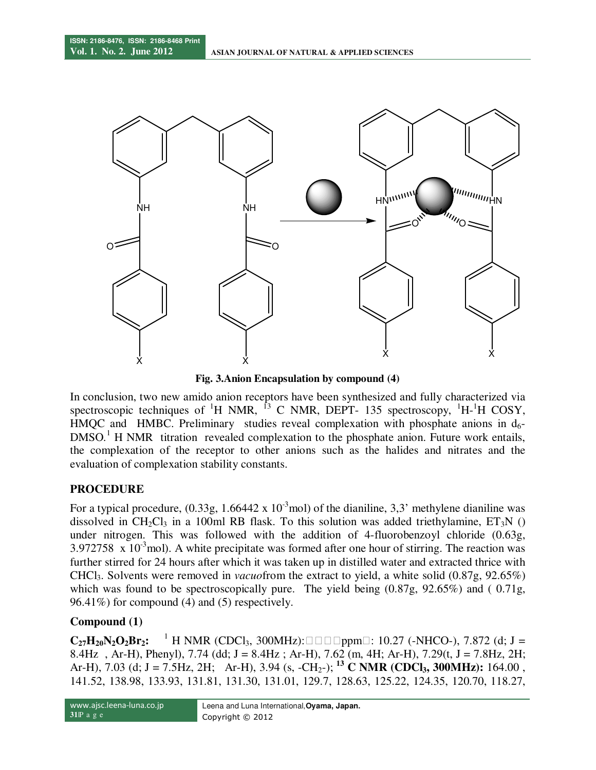

**Fig. 3.Anion Encapsulation by compound (4)** 

In conclusion, two new amido anion receptors have been synthesized and fully characterized via spectroscopic techniques of  ${}^{1}H$  NMR,  ${}^{13}$  C NMR, DEPT- 135 spectroscopy,  ${}^{1}H$ - ${}^{1}H$  COSY,  $HMOC$  and HMBC. Preliminary studies reveal complexation with phosphate anions in d<sub>6</sub>-DMSO.<sup>1</sup> H NMR titration revealed complexation to the phosphate anion. Future work entails, the complexation of the receptor to other anions such as the halides and nitrates and the evaluation of complexation stability constants.

# **PROCEDURE**

For a typical procedure,  $(0.33g, 1.66442 \times 10^{-3}$  mol) of the dianiline, 3,3' methylene dianiline was dissolved in CH<sub>2</sub>Cl<sub>3</sub> in a 100ml RB flask. To this solution was added triethylamine,  $ET_3N$  () under nitrogen. This was followed with the addition of 4-fluorobenzoyl chloride (0.63g, 3.972758  $\times$  10<sup>-3</sup>mol). A white precipitate was formed after one hour of stirring. The reaction was further stirred for 24 hours after which it was taken up in distilled water and extracted thrice with CHCl3. Solvents were removed in *vacuo*from the extract to yield, a white solid (0.87g, 92.65%) which was found to be spectroscopically pure. The yield being  $(0.87g, 92.65\%)$  and (  $0.71g$ , 96.41%) for compound (4) and (5) respectively.

# **Compound (1)**

 $C_{27}H_{20}N_2O_2Br_2$ : <sup>1</sup> H NMR (CDCl<sub>3</sub>, 300MHz): ppm: 10.27 (-NHCO-), 7.872 (d; J = 8.4Hz, Ar-H), Phenyl), 7.74 (dd; J = 8.4Hz; Ar-H), 7.62 (m, 4H; Ar-H), 7.29(t, J = 7.8Hz, 2H; Ar-H), 7.03 (d; J = 7.5Hz, 2H; Ar-H), 3.94 (s, -CH<sub>2</sub>-); <sup>13</sup> C NMR (CDCl<sub>3</sub>, 300MHz): 164.00 , 141.52, 138.98, 133.93, 131.81, 131.30, 131.01, 129.7, 128.63, 125.22, 124.35, 120.70, 118.27,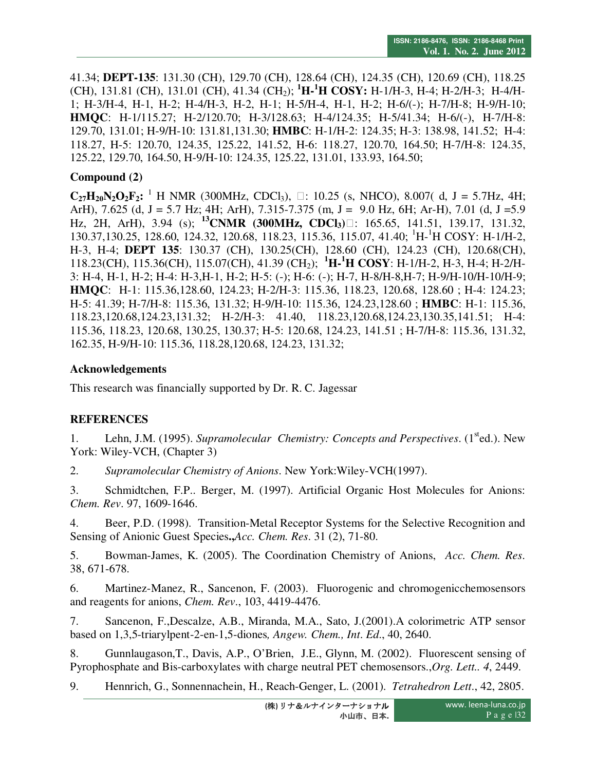41.34; **DEPT-135**: 131.30 (CH), 129.70 (CH), 128.64 (CH), 124.35 (CH), 120.69 (CH), 118.25 (CH), 131.81 (CH), 131.01 (CH), 41.34 (CH2); **<sup>1</sup>H-<sup>1</sup>H COSY:** H-1/H-3, H-4; H-2/H-3; H-4/H-1; H-3/H-4, H-1, H-2; H-4/H-3, H-2, H-1; H-5/H-4, H-1, H-2; H-6/(-); H-7/H-8; H-9/H-10; **HMQC**: H-1/115.27; H-2/120.70; H-3/128.63; H-4/124.35; H-5/41.34; H-6/(-), H-7/H-8: 129.70, 131.01; H-9/H-10: 131.81,131.30; **HMBC**: H-1/H-2: 124.35; H-3: 138.98, 141.52; H-4: 118.27, H-5: 120.70, 124.35, 125.22, 141.52, H-6: 118.27, 120.70, 164.50; H-7/H-8: 124.35, 125.22, 129.70, 164.50, H-9/H-10: 124.35, 125.22, 131.01, 133.93, 164.50;

#### **Compound (2)**

 $C_{27}H_{20}N_2O_2F_2$ : <sup>1</sup> H NMR (300MHz, CDCl<sub>3</sub>), : 10.25 (s, NHCO), 8.007( d, J = 5.7Hz, 4H; ArH), 7.625 (d, J = 5.7 Hz; 4H; ArH), 7.315-7.375 (m, J = 9.0 Hz, 6H; Ar-H), 7.01 (d, J = 5.9 Hz, 2H, ArH), 3.94 (s); **<sup>13</sup>CNMR (300MHz, CDCl3)**: 165.65, 141.51, 139.17, 131.32, 130.37,130.25, 128.60, 124.32, 120.68, 118.23, 115.36, 115.07, 41.40; <sup>1</sup>H-<sup>1</sup>H COSY: H-1/H-2, H-3, H-4; **DEPT 135**: 130.37 (CH), 130.25(CH), 128.60 (CH), 124.23 (CH), 120.68(CH), 118.23(CH), 115.36(CH), 115.07(CH), 41.39 (CH2); **<sup>1</sup>H-<sup>1</sup>H COSY**: H-1/H-2, H-3, H-4; H-2/H-3: H-4, H-1, H-2; H-4: H-3,H-1, H-2; H-5: (-); H-6: (-); H-7, H-8/H-8,H-7; H-9/H-10/H-10/H-9; **HMQC**: H-1: 115.36,128.60, 124.23; H-2/H-3: 115.36, 118.23, 120.68, 128.60 ; H-4: 124.23; H-5: 41.39; H-7/H-8: 115.36, 131.32; H-9/H-10: 115.36, 124.23,128.60 ; **HMBC**: H-1: 115.36, 118.23,120.68,124.23,131.32; H-2/H-3: 41.40, 118.23,120.68,124.23,130.35,141.51; H-4: 115.36, 118.23, 120.68, 130.25, 130.37; H-5: 120.68, 124.23, 141.51 ; H-7/H-8: 115.36, 131.32, 162.35, H-9/H-10: 115.36, 118.28,120.68, 124.23, 131.32;

#### **Acknowledgements**

This research was financially supported by Dr. R. C. Jagessar

# **REFERENCES**

1. Lehn, J.M. (1995). *Supramolecular Chemistry: Concepts and Perspectives*. (1<sup>st</sup>ed.). New York: Wiley-VCH, (Chapter 3)

2. *Supramolecular Chemistry of Anions*. New York:Wiley-VCH(1997).

3. Schmidtchen, F.P.. Berger, M. (1997). Artificial Organic Host Molecules for Anions: *Chem. Rev*. 97, 1609-1646.

4. Beer, P.D. (1998). Transition-Metal Receptor Systems for the Selective Recognition and Sensing of Anionic Guest Species**.,***Acc. Chem. Res*. 31 (2), 71-80.

5. Bowman-James, K. (2005). The Coordination Chemistry of Anions, *Acc. Chem. Res*. 38, 671-678.

6. Martinez-Manez, R., Sancenon, F. (2003). Fluorogenic and chromogenicchemosensors and reagents for anions, *Chem. Rev*., 103, 4419-4476.

7. Sancenon, F.,Descalze, A.B., Miranda, M.A., Sato, J.(2001).A colorimetric ATP sensor based on 1,3,5-triarylpent-2-en-1,5-diones*, Angew. Chem., Int*. *Ed*., 40, 2640.

8. Gunnlaugason,T., Davis, A.P., O'Brien, J.E., Glynn, M. (2002). Fluorescent sensing of Pyrophosphate and Bis-carboxylates with charge neutral PET chemosensors.,*Org. Lett.. 4*, 2449.

9. Hennrich, G., Sonnennachein, H., Reach-Genger, L. (2001). *Tetrahedron Lett*., 42, 2805.